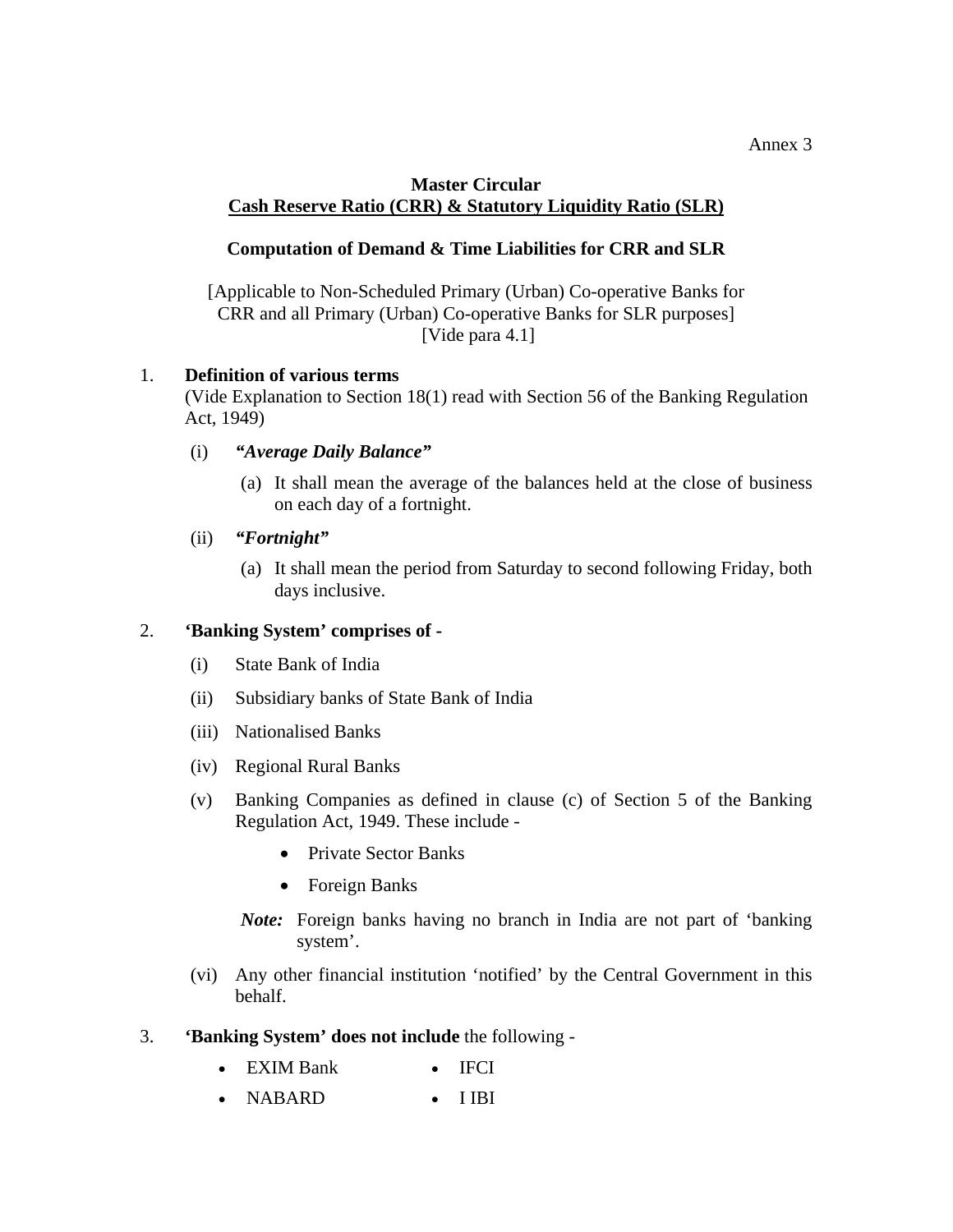### **Master Circular Cash Reserve Ratio (CRR) & Statutory Liquidity Ratio (SLR)**

# **Computation of Demand & Time Liabilities for CRR and SLR**

[Applicable to Non-Scheduled Primary (Urban) Co-operative Banks for CRR and all Primary (Urban) Co-operative Banks for SLR purposes] [Vide para 4.1]

## 1. **Definition of various terms**

(Vide Explanation to Section 18(1) read with Section 56 of the Banking Regulation Act, 1949)

- (i) *"Average Daily Balance"*
	- (a) It shall mean the average of the balances held at the close of business on each day of a fortnight.
- (ii) *"Fortnight"*
	- (a) It shall mean the period from Saturday to second following Friday, both days inclusive.

## 2. **'Banking System' comprises of -**

- (i) State Bank of India
- (ii) Subsidiary banks of State Bank of India
- (iii) Nationalised Banks
- (iv) Regional Rural Banks
- (v) Banking Companies as defined in clause (c) of Section 5 of the Banking Regulation Act, 1949. These include -
	- Private Sector Banks
	- Foreign Banks
	- *Note:* Foreign banks having no branch in India are not part of 'banking system'.
- (vi) Any other financial institution 'notified' by the Central Government in this behalf.
- 3. **'Banking System' does not include** the following
	- EXIM Bank IFCI
	- NABARD I IBI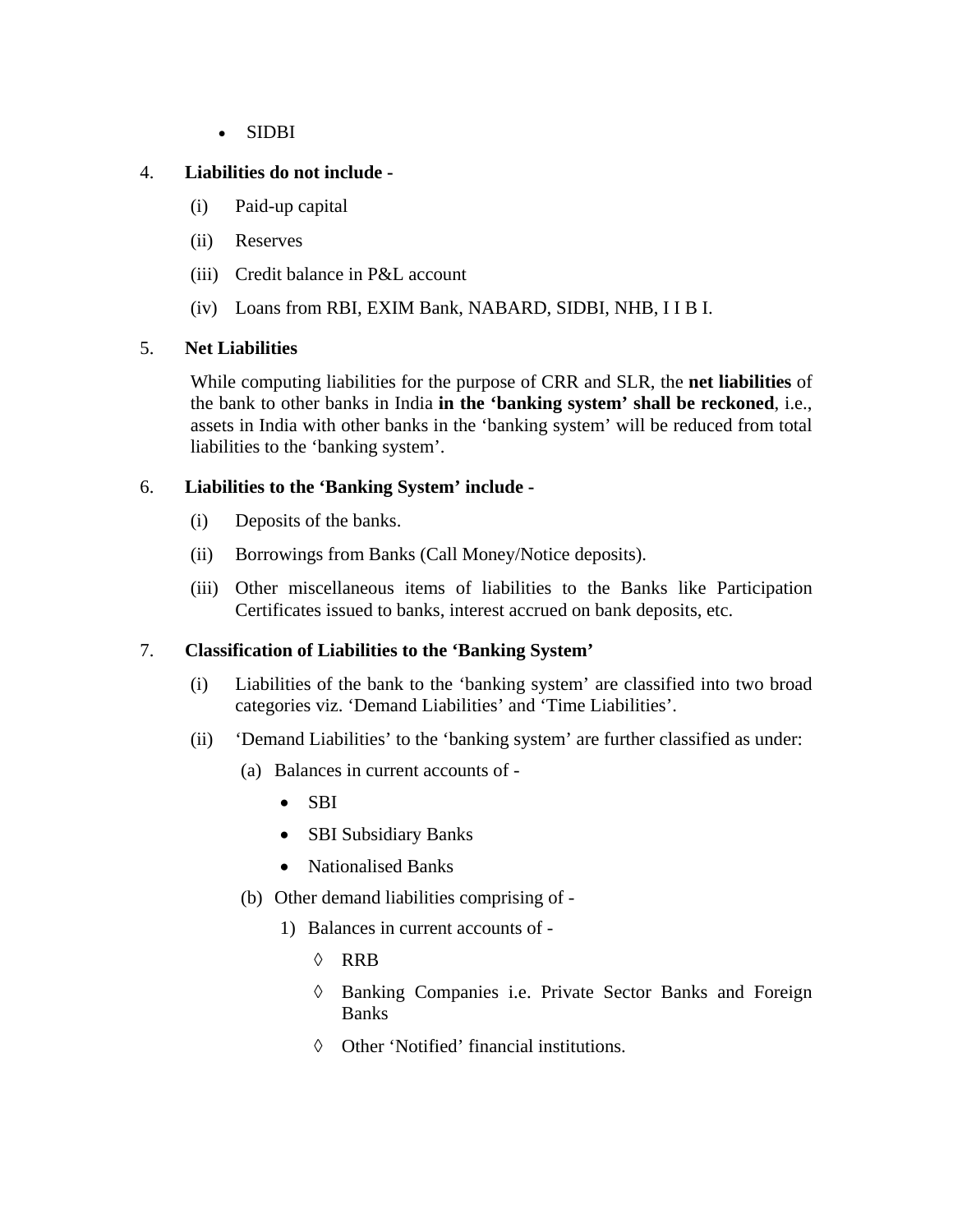• SIDBI

# 4. **Liabilities do not include -**

- (i) Paid-up capital
- (ii) Reserves
- (iii) Credit balance in P&L account
- (iv) Loans from RBI, EXIM Bank, NABARD, SIDBI, NHB, I I B I.

## 5. **Net Liabilities**

While computing liabilities for the purpose of CRR and SLR, the **net liabilities** of the bank to other banks in India **in the 'banking system' shall be reckoned**, i.e., assets in India with other banks in the 'banking system' will be reduced from total liabilities to the 'banking system'.

# 6. **Liabilities to the 'Banking System' include -**

- (i) Deposits of the banks.
- (ii) Borrowings from Banks (Call Money/Notice deposits).
- (iii) Other miscellaneous items of liabilities to the Banks like Participation Certificates issued to banks, interest accrued on bank deposits, etc.

# 7. **Classification of Liabilities to the 'Banking System'**

- (i) Liabilities of the bank to the 'banking system' are classified into two broad categories viz. 'Demand Liabilities' and 'Time Liabilities'.
- (ii) 'Demand Liabilities' to the 'banking system' are further classified as under:
	- (a) Balances in current accounts of
		- SBI
		- SBI Subsidiary Banks
		- Nationalised Banks
	- (b) Other demand liabilities comprising of
		- 1) Balances in current accounts of
			- ◊ RRB
			- ◊ Banking Companies i.e. Private Sector Banks and Foreign Banks
			- ◊ Other 'Notified' financial institutions.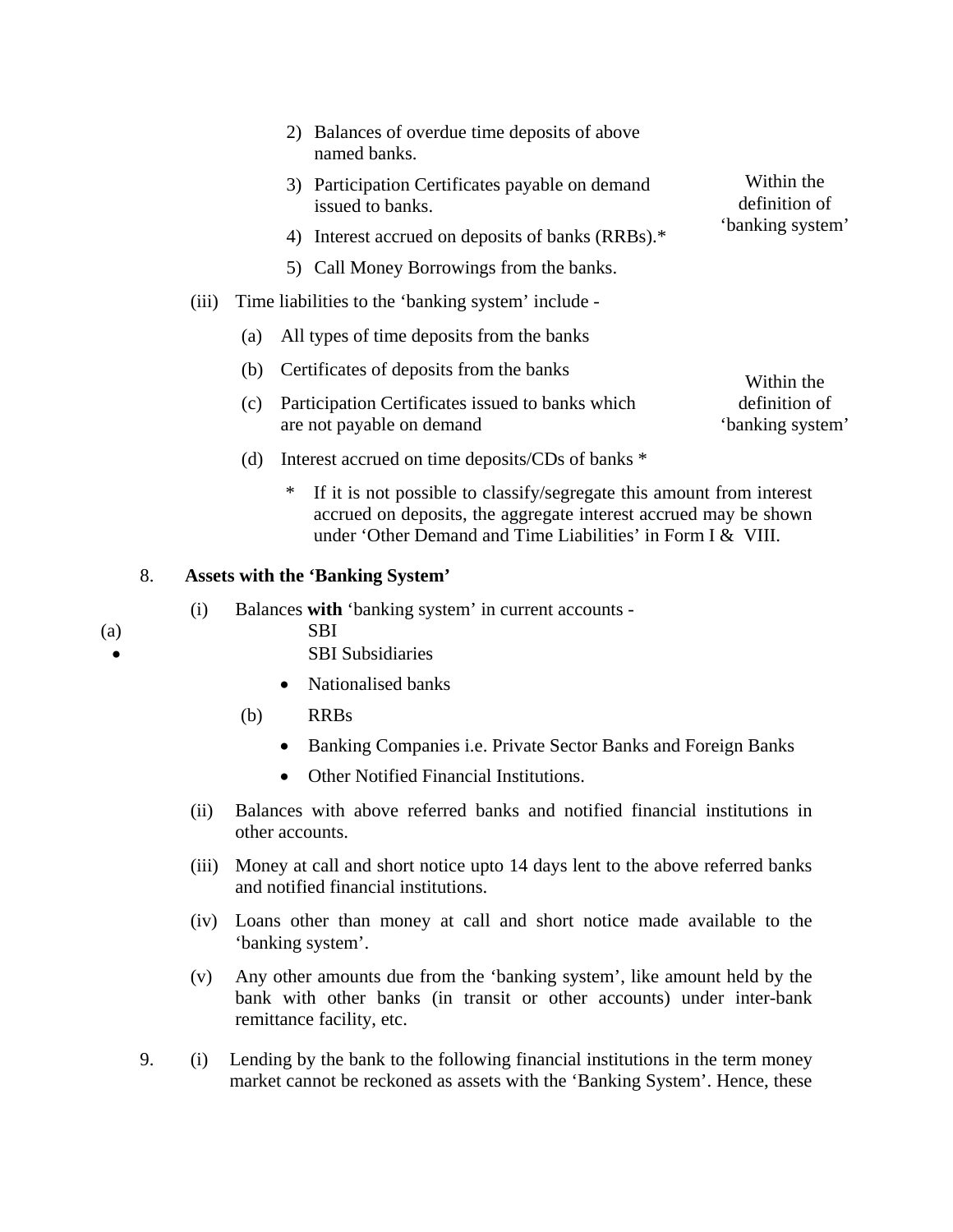- 2) Balances of overdue time deposits of above named banks.
- 3) Participation Certificates payable on demand issued to banks.
- 4) Interest accrued on deposits of banks (RRBs).\*
- 5) Call Money Borrowings from the banks.
- (iii) Time liabilities to the 'banking system' include
	- (a) All types of time deposits from the banks
	- (b) Certificates of deposits from the banks
	- (c) Participation Certificates issued to banks which are not payable on demand definition of 'banking system'
	- (d) Interest accrued on time deposits/CDs of banks \*
		- If it is not possible to classify/segregate this amount from interest accrued on deposits, the aggregate interest accrued may be shown under 'Other Demand and Time Liabilities' in Form I & VIII.

### 8. **Assets with the 'Banking System'**

- (i) Balances **with** 'banking system' in current accounts -
- (a) SBI
	-
- SBI Subsidiaries
- Nationalised banks
- (b) RRBs
	- Banking Companies i.e. Private Sector Banks and Foreign Banks
	- Other Notified Financial Institutions.
- (ii) Balances with above referred banks and notified financial institutions in other accounts.
- (iii) Money at call and short notice upto 14 days lent to the above referred banks and notified financial institutions.
- (iv) Loans other than money at call and short notice made available to the 'banking system'.
- (v) Any other amounts due from the 'banking system', like amount held by the bank with other banks (in transit or other accounts) under inter-bank remittance facility, etc.
- 9. (i) Lending by the bank to the following financial institutions in the term money market cannot be reckoned as assets with the 'Banking System'. Hence, these

Within the definition of 'banking system'

Within the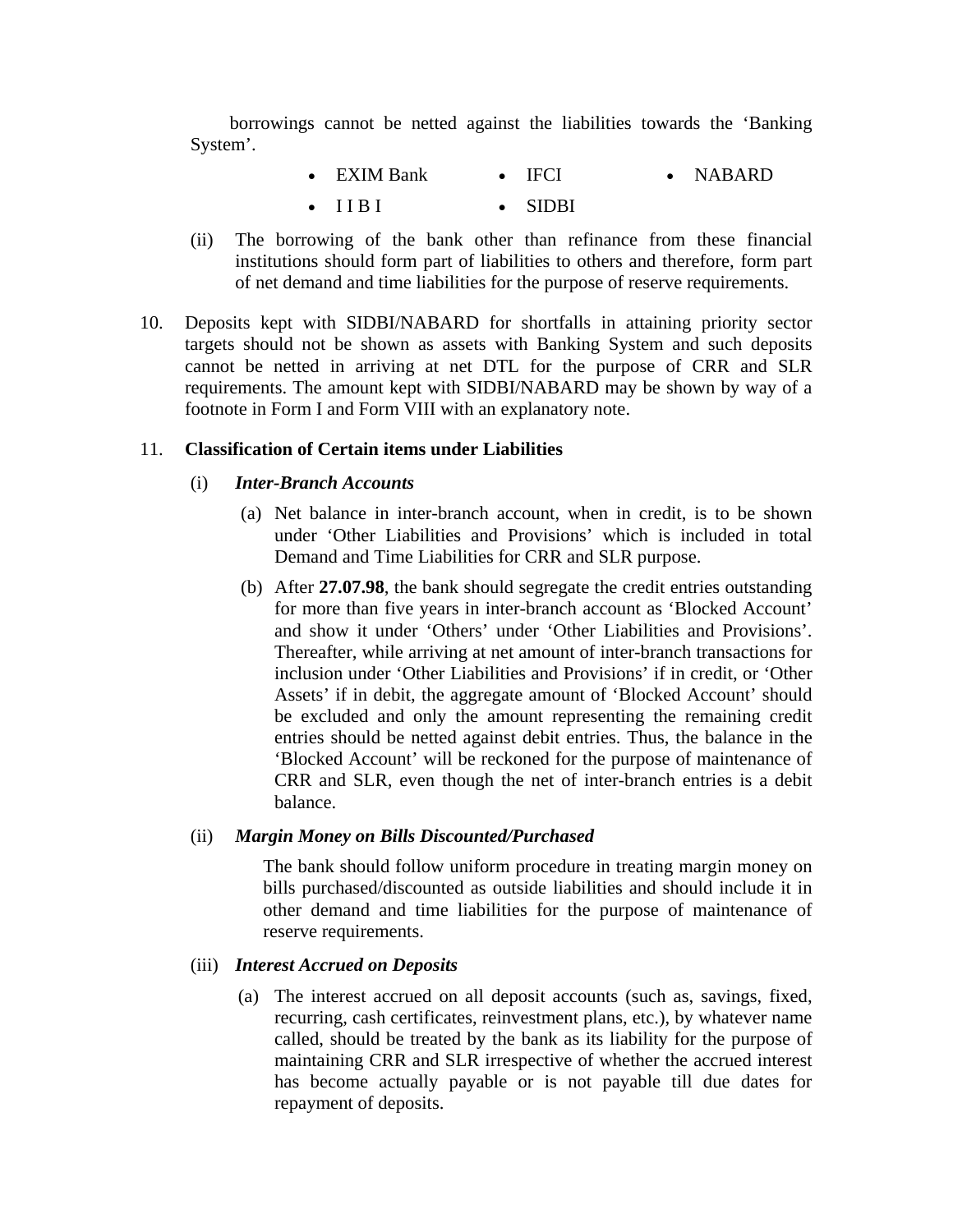borrowings cannot be netted against the liabilities towards the 'Banking System'.

| $\bullet$ EXIM Bank | $\bullet$ IFCI  | $\bullet$ NABARD |
|---------------------|-----------------|------------------|
| $\bullet$ TIRE      | $\bullet$ SIDBI |                  |

- (ii) The borrowing of the bank other than refinance from these financial institutions should form part of liabilities to others and therefore, form part of net demand and time liabilities for the purpose of reserve requirements.
- 10. Deposits kept with SIDBI/NABARD for shortfalls in attaining priority sector targets should not be shown as assets with Banking System and such deposits cannot be netted in arriving at net DTL for the purpose of CRR and SLR requirements. The amount kept with SIDBI/NABARD may be shown by way of a footnote in Form I and Form VIII with an explanatory note.

#### 11. **Classification of Certain items under Liabilities**

# (i) *Inter-Branch Accounts*

- (a) Net balance in inter-branch account, when in credit, is to be shown under 'Other Liabilities and Provisions' which is included in total Demand and Time Liabilities for CRR and SLR purpose.
- (b) After **27.07.98**, the bank should segregate the credit entries outstanding for more than five years in inter-branch account as 'Blocked Account' and show it under 'Others' under 'Other Liabilities and Provisions'. Thereafter, while arriving at net amount of inter-branch transactions for inclusion under 'Other Liabilities and Provisions' if in credit, or 'Other Assets' if in debit, the aggregate amount of 'Blocked Account' should be excluded and only the amount representing the remaining credit entries should be netted against debit entries. Thus, the balance in the 'Blocked Account' will be reckoned for the purpose of maintenance of CRR and SLR, even though the net of inter-branch entries is a debit balance.

#### (ii) *Margin Money on Bills Discounted/Purchased*

The bank should follow uniform procedure in treating margin money on bills purchased/discounted as outside liabilities and should include it in other demand and time liabilities for the purpose of maintenance of reserve requirements.

### (iii) *Interest Accrued on Deposits*

(a) The interest accrued on all deposit accounts (such as, savings, fixed, recurring, cash certificates, reinvestment plans, etc.), by whatever name called, should be treated by the bank as its liability for the purpose of maintaining CRR and SLR irrespective of whether the accrued interest has become actually payable or is not payable till due dates for repayment of deposits.